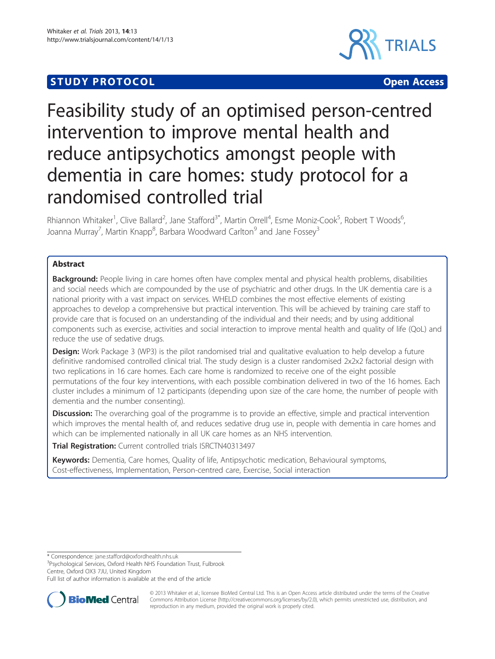# **STUDY PROTOCOL CONSUMING THE CONSUMING OPEN ACCESS**



# Feasibility study of an optimised person-centred intervention to improve mental health and reduce antipsychotics amongst people with dementia in care homes: study protocol for a randomised controlled trial

Rhiannon Whitaker<sup>1</sup>, Clive Ballard<sup>2</sup>, Jane Stafford<sup>3\*</sup>, Martin Orrell<sup>4</sup>, Esme Moniz-Cook<sup>5</sup>, Robert T Woods<sup>6</sup> , Joanna Murray<sup>7</sup>, Martin Knapp<sup>8</sup>, Barbara Woodward Carlton<sup>9</sup> and Jane Fossey<sup>3</sup>

# Abstract

**Background:** People living in care homes often have complex mental and physical health problems, disabilities and social needs which are compounded by the use of psychiatric and other drugs. In the UK dementia care is a national priority with a vast impact on services. WHELD combines the most effective elements of existing approaches to develop a comprehensive but practical intervention. This will be achieved by training care staff to provide care that is focused on an understanding of the individual and their needs; and by using additional components such as exercise, activities and social interaction to improve mental health and quality of life (QoL) and reduce the use of sedative drugs.

**Design:** Work Package 3 (WP3) is the pilot randomised trial and qualitative evaluation to help develop a future definitive randomised controlled clinical trial. The study design is a cluster randomised 2x2x2 factorial design with two replications in 16 care homes. Each care home is randomized to receive one of the eight possible permutations of the four key interventions, with each possible combination delivered in two of the 16 homes. Each cluster includes a minimum of 12 participants (depending upon size of the care home, the number of people with dementia and the number consenting).

**Discussion:** The overarching goal of the programme is to provide an effective, simple and practical intervention which improves the mental health of, and reduces sedative drug use in, people with dementia in care homes and which can be implemented nationally in all UK care homes as an NHS intervention.

**Trial Registration:** Current controlled trials [ISRCTN40313497](http://www.controlled-trials.com/ISRCTN40313497/)

Keywords: Dementia, Care homes, Quality of life, Antipsychotic medication, Behavioural symptoms, Cost-effectiveness, Implementation, Person-centred care, Exercise, Social interaction

\* Correspondence: [jane.stafford@oxfordhealth.nhs.uk](mailto:jane.stafford@oxfordhealth.nhs.uk) <sup>3</sup>

<sup>3</sup>Psychological Services, Oxford Health NHS Foundation Trust, Fulbrook Centre, Oxford OX3 7JU, United Kingdom

Full list of author information is available at the end of the article



© 2013 Whitaker et al.; licensee BioMed Central Ltd. This is an Open Access article distributed under the terms of the Creative Commons Attribution License [\(http://creativecommons.org/licenses/by/2.0\)](http://creativecommons.org/licenses/by/2.0), which permits unrestricted use, distribution, and reproduction in any medium, provided the original work is properly cited.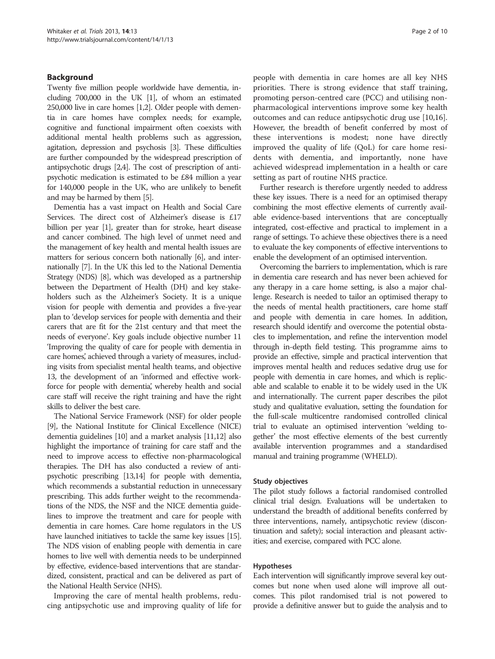# Background

Twenty five million people worldwide have dementia, including 700,000 in the UK [\[1](#page-9-0)], of whom an estimated 250,000 live in care homes [\[1,2](#page-9-0)]. Older people with dementia in care homes have complex needs; for example, cognitive and functional impairment often coexists with additional mental health problems such as aggression, agitation, depression and psychosis [[3](#page-9-0)]. These difficulties are further compounded by the widespread prescription of antipsychotic drugs [\[2,4\]](#page-9-0). The cost of prescription of antipsychotic medication is estimated to be £84 million a year for 140,000 people in the UK, who are unlikely to benefit and may be harmed by them [\[5\]](#page-9-0).

Dementia has a vast impact on Health and Social Care Services. The direct cost of Alzheimer's disease is £17 billion per year [\[1\]](#page-9-0), greater than for stroke, heart disease and cancer combined. The high level of unmet need and the management of key health and mental health issues are matters for serious concern both nationally [\[6](#page-9-0)], and internationally [\[7\]](#page-9-0). In the UK this led to the National Dementia Strategy (NDS) [[8](#page-9-0)], which was developed as a partnership between the Department of Health (DH) and key stakeholders such as the Alzheimer's Society. It is a unique vision for people with dementia and provides a five-year plan to 'develop services for people with dementia and their carers that are fit for the 21st century and that meet the needs of everyone'. Key goals include objective number 11 'Improving the quality of care for people with dementia in care homes, achieved through a variety of measures, including visits from specialist mental health teams, and objective 13, the development of an 'informed and effective workforce for people with dementia, whereby health and social care staff will receive the right training and have the right skills to deliver the best care.

The National Service Framework (NSF) for older people [[9](#page-9-0)], the National Institute for Clinical Excellence (NICE) dementia guidelines [\[10\]](#page-9-0) and a market analysis [\[11,12](#page-9-0)] also highlight the importance of training for care staff and the need to improve access to effective non-pharmacological therapies. The DH has also conducted a review of antipsychotic prescribing [\[13,14](#page-9-0)] for people with dementia, which recommends a substantial reduction in unnecessary prescribing. This adds further weight to the recommendations of the NDS, the NSF and the NICE dementia guidelines to improve the treatment and care for people with dementia in care homes. Care home regulators in the US have launched initiatives to tackle the same key issues [\[15](#page-9-0)]. The NDS vision of enabling people with dementia in care homes to live well with dementia needs to be underpinned by effective, evidence-based interventions that are standardized, consistent, practical and can be delivered as part of the National Health Service (NHS).

Improving the care of mental health problems, reducing antipsychotic use and improving quality of life for

people with dementia in care homes are all key NHS priorities. There is strong evidence that staff training, promoting person-centred care (PCC) and utilising nonpharmacological interventions improve some key health outcomes and can reduce antipsychotic drug use [\[10,16](#page-9-0)]. However, the breadth of benefit conferred by most of these interventions is modest; none have directly improved the quality of life (QoL) for care home residents with dementia, and importantly, none have achieved widespread implementation in a health or care setting as part of routine NHS practice.

Further research is therefore urgently needed to address these key issues. There is a need for an optimised therapy combining the most effective elements of currently available evidence-based interventions that are conceptually integrated, cost-effective and practical to implement in a range of settings. To achieve these objectives there is a need to evaluate the key components of effective interventions to enable the development of an optimised intervention.

Overcoming the barriers to implementation, which is rare in dementia care research and has never been achieved for any therapy in a care home setting, is also a major challenge. Research is needed to tailor an optimised therapy to the needs of mental health practitioners, care home staff and people with dementia in care homes. In addition, research should identify and overcome the potential obstacles to implementation, and refine the intervention model through in-depth field testing. This programme aims to provide an effective, simple and practical intervention that improves mental health and reduces sedative drug use for people with dementia in care homes, and which is replicable and scalable to enable it to be widely used in the UK and internationally. The current paper describes the pilot study and qualitative evaluation, setting the foundation for the full-scale multicentre randomised controlled clinical trial to evaluate an optimised intervention 'welding together' the most effective elements of the best currently available intervention programmes and a standardised manual and training programme (WHELD).

#### Study objectives

The pilot study follows a factorial randomised controlled clinical trial design. Evaluations will be undertaken to understand the breadth of additional benefits conferred by three interventions, namely, antipsychotic review (discontinuation and safety); social interaction and pleasant activities; and exercise, compared with PCC alone.

#### Hypotheses

Each intervention will significantly improve several key outcomes but none when used alone will improve all outcomes. This pilot randomised trial is not powered to provide a definitive answer but to guide the analysis and to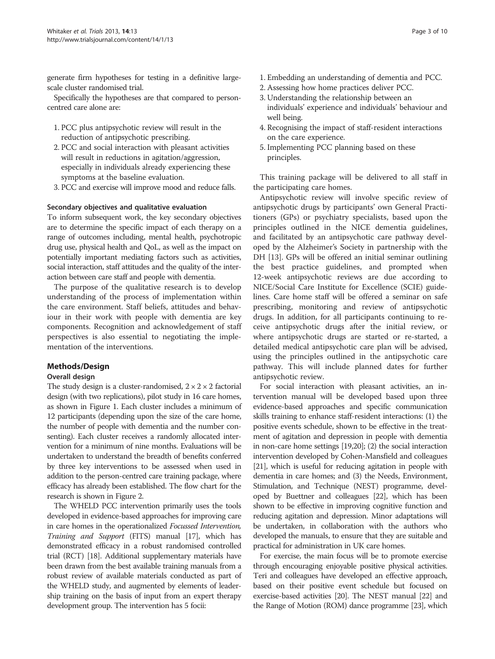generate firm hypotheses for testing in a definitive largescale cluster randomised trial.

Specifically the hypotheses are that compared to personcentred care alone are:

- 1. PCC plus antipsychotic review will result in the reduction of antipsychotic prescribing.
- 2. PCC and social interaction with pleasant activities will result in reductions in agitation/aggression, especially in individuals already experiencing these symptoms at the baseline evaluation.
- 3. PCC and exercise will improve mood and reduce falls.

#### Secondary objectives and qualitative evaluation

To inform subsequent work, the key secondary objectives are to determine the specific impact of each therapy on a range of outcomes including, mental health, psychotropic drug use, physical health and QoL, as well as the impact on potentially important mediating factors such as activities, social interaction, staff attitudes and the quality of the interaction between care staff and people with dementia.

The purpose of the qualitative research is to develop understanding of the process of implementation within the care environment. Staff beliefs, attitudes and behaviour in their work with people with dementia are key components. Recognition and acknowledgement of staff perspectives is also essential to negotiating the implementation of the interventions.

#### Methods/Design

#### Overall design

The study design is a cluster-randomised,  $2 \times 2 \times 2$  factorial design (with two replications), pilot study in 16 care homes, as shown in Figure [1](#page-3-0). Each cluster includes a minimum of 12 participants (depending upon the size of the care home, the number of people with dementia and the number consenting). Each cluster receives a randomly allocated intervention for a minimum of nine months. Evaluations will be undertaken to understand the breadth of benefits conferred by three key interventions to be assessed when used in addition to the person-centred care training package, where efficacy has already been established. The flow chart for the research is shown in Figure [2.](#page-4-0)

The WHELD PCC intervention primarily uses the tools developed in evidence-based approaches for improving care in care homes in the operationalized Focussed Intervention, Training and Support (FITS) manual [\[17\]](#page-9-0), which has demonstrated efficacy in a robust randomised controlled trial (RCT) [\[18](#page-9-0)]. Additional supplementary materials have been drawn from the best available training manuals from a robust review of available materials conducted as part of the WHELD study, and augmented by elements of leadership training on the basis of input from an expert therapy development group. The intervention has 5 focii:

- 2. Assessing how home practices deliver PCC.
- 3. Understanding the relationship between an individuals' experience and individuals' behaviour and well being.
- 4. Recognising the impact of staff-resident interactions on the care experience.
- 5. Implementing PCC planning based on these principles.

This training package will be delivered to all staff in the participating care homes.

Antipsychotic review will involve specific review of antipsychotic drugs by participants' own General Practitioners (GPs) or psychiatry specialists, based upon the principles outlined in the NICE dementia guidelines, and facilitated by an antipsychotic care pathway developed by the Alzheimer's Society in partnership with the DH [[13\]](#page-9-0). GPs will be offered an initial seminar outlining the best practice guidelines, and prompted when 12-week antipsychotic reviews are due according to NICE/Social Care Institute for Excellence (SCIE) guidelines. Care home staff will be offered a seminar on safe prescribing, monitoring and review of antipsychotic drugs. In addition, for all participants continuing to receive antipsychotic drugs after the initial review, or where antipsychotic drugs are started or re-started, a detailed medical antipsychotic care plan will be advised, using the principles outlined in the antipsychotic care pathway. This will include planned dates for further antipsychotic review.

For social interaction with pleasant activities, an intervention manual will be developed based upon three evidence-based approaches and specific communication skills training to enhance staff-resident interactions: (1) the positive events schedule, shown to be effective in the treatment of agitation and depression in people with dementia in non-care home settings [[19,20\]](#page-9-0); (2) the social interaction intervention developed by Cohen-Mansfield and colleagues [[21](#page-9-0)], which is useful for reducing agitation in people with dementia in care homes; and (3) the Needs, Environment, Stimulation, and Technique (NEST) programme, developed by Buettner and colleagues [\[22\]](#page-9-0), which has been shown to be effective in improving cognitive function and reducing agitation and depression. Minor adaptations will be undertaken, in collaboration with the authors who developed the manuals, to ensure that they are suitable and practical for administration in UK care homes.

For exercise, the main focus will be to promote exercise through encouraging enjoyable positive physical activities. Teri and colleagues have developed an effective approach, based on their positive event schedule but focused on exercise-based activities [[20](#page-9-0)]. The NEST manual [[22\]](#page-9-0) and the Range of Motion (ROM) dance programme [[23](#page-9-0)], which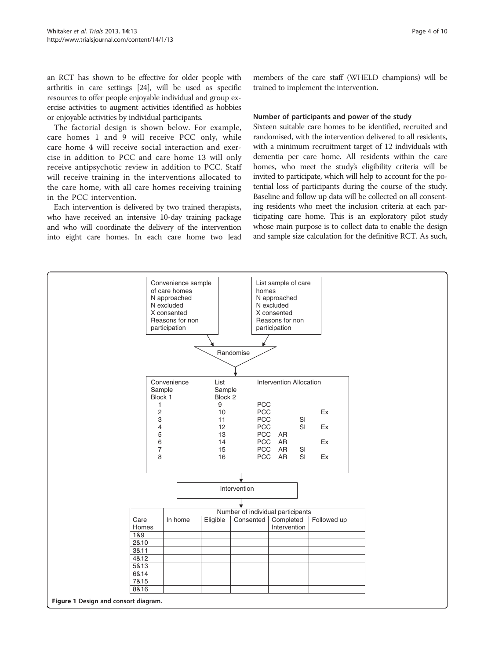<span id="page-3-0"></span>an RCT has shown to be effective for older people with arthritis in care settings [\[24](#page-9-0)], will be used as specific resources to offer people enjoyable individual and group exercise activities to augment activities identified as hobbies or enjoyable activities by individual participants.

The factorial design is shown below. For example, care homes 1 and 9 will receive PCC only, while care home 4 will receive social interaction and exercise in addition to PCC and care home 13 will only receive antipsychotic review in addition to PCC. Staff will receive training in the interventions allocated to the care home, with all care homes receiving training in the PCC intervention.

Each intervention is delivered by two trained therapists, who have received an intensive 10-day training package and who will coordinate the delivery of the intervention into eight care homes. In each care home two lead members of the care staff (WHELD champions) will be trained to implement the intervention.

#### Number of participants and power of the study

Sixteen suitable care homes to be identified, recruited and randomised, with the intervention delivered to all residents, with a minimum recruitment target of 12 individuals with dementia per care home. All residents within the care homes, who meet the study's eligibility criteria will be invited to participate, which will help to account for the potential loss of participants during the course of the study. Baseline and follow up data will be collected on all consenting residents who meet the inclusion criteria at each participating care home. This is an exploratory pilot study whose main purpose is to collect data to enable the design and sample size calculation for the definitive RCT. As such,

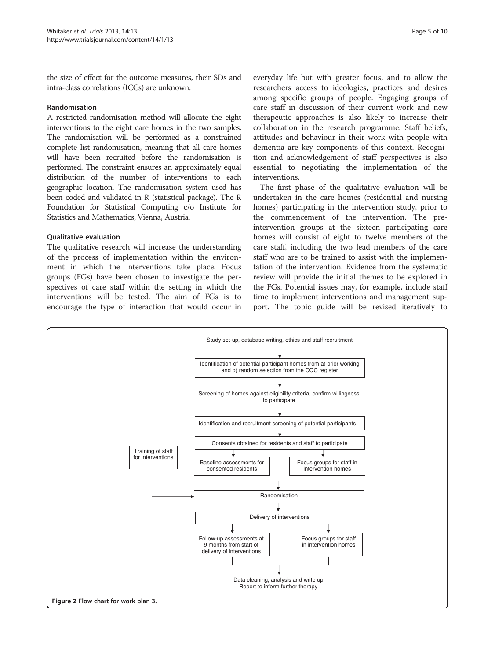<span id="page-4-0"></span>the size of effect for the outcome measures, their SDs and intra-class correlations (ICCs) are unknown.

#### Randomisation

A restricted randomisation method will allocate the eight interventions to the eight care homes in the two samples. The randomisation will be performed as a constrained complete list randomisation, meaning that all care homes will have been recruited before the randomisation is performed. The constraint ensures an approximately equal distribution of the number of interventions to each geographic location. The randomisation system used has been coded and validated in R (statistical package). The R Foundation for Statistical Computing c/o Institute for Statistics and Mathematics, Vienna, Austria.

#### Qualitative evaluation

The qualitative research will increase the understanding of the process of implementation within the environment in which the interventions take place. Focus groups (FGs) have been chosen to investigate the perspectives of care staff within the setting in which the interventions will be tested. The aim of FGs is to encourage the type of interaction that would occur in

everyday life but with greater focus, and to allow the researchers access to ideologies, practices and desires among specific groups of people. Engaging groups of care staff in discussion of their current work and new therapeutic approaches is also likely to increase their collaboration in the research programme. Staff beliefs, attitudes and behaviour in their work with people with dementia are key components of this context. Recognition and acknowledgement of staff perspectives is also essential to negotiating the implementation of the interventions.

The first phase of the qualitative evaluation will be undertaken in the care homes (residential and nursing homes) participating in the intervention study, prior to the commencement of the intervention. The preintervention groups at the sixteen participating care homes will consist of eight to twelve members of the care staff, including the two lead members of the care staff who are to be trained to assist with the implementation of the intervention. Evidence from the systematic review will provide the initial themes to be explored in the FGs. Potential issues may, for example, include staff time to implement interventions and management support. The topic guide will be revised iteratively to

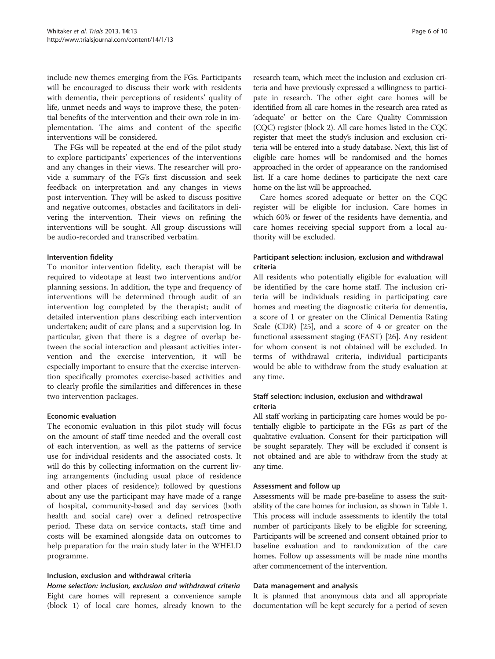include new themes emerging from the FGs. Participants will be encouraged to discuss their work with residents with dementia, their perceptions of residents' quality of life, unmet needs and ways to improve these, the potential benefits of the intervention and their own role in implementation. The aims and content of the specific interventions will be considered.

The FGs will be repeated at the end of the pilot study to explore participants' experiences of the interventions and any changes in their views. The researcher will provide a summary of the FG's first discussion and seek feedback on interpretation and any changes in views post intervention. They will be asked to discuss positive and negative outcomes, obstacles and facilitators in delivering the intervention. Their views on refining the interventions will be sought. All group discussions will be audio-recorded and transcribed verbatim.

#### Intervention fidelity

To monitor intervention fidelity, each therapist will be required to videotape at least two interventions and/or planning sessions. In addition, the type and frequency of interventions will be determined through audit of an intervention log completed by the therapist; audit of detailed intervention plans describing each intervention undertaken; audit of care plans; and a supervision log. In particular, given that there is a degree of overlap between the social interaction and pleasant activities intervention and the exercise intervention, it will be especially important to ensure that the exercise intervention specifically promotes exercise-based activities and to clearly profile the similarities and differences in these two intervention packages.

#### Economic evaluation

The economic evaluation in this pilot study will focus on the amount of staff time needed and the overall cost of each intervention, as well as the patterns of service use for individual residents and the associated costs. It will do this by collecting information on the current living arrangements (including usual place of residence and other places of residence); followed by questions about any use the participant may have made of a range of hospital, community-based and day services (both health and social care) over a defined retrospective period. These data on service contacts, staff time and costs will be examined alongside data on outcomes to help preparation for the main study later in the WHELD programme.

## Inclusion, exclusion and withdrawal criteria

Home selection: inclusion, exclusion and withdrawal criteria Eight care homes will represent a convenience sample (block 1) of local care homes, already known to the

research team, which meet the inclusion and exclusion criteria and have previously expressed a willingness to participate in research. The other eight care homes will be identified from all care homes in the research area rated as 'adequate' or better on the Care Quality Commission (CQC) register (block 2). All care homes listed in the CQC register that meet the study's inclusion and exclusion criteria will be entered into a study database. Next, this list of eligible care homes will be randomised and the homes approached in the order of appearance on the randomised list. If a care home declines to participate the next care home on the list will be approached.

Care homes scored adequate or better on the CQC register will be eligible for inclusion. Care homes in which 60% or fewer of the residents have dementia, and care homes receiving special support from a local authority will be excluded.

# Participant selection: inclusion, exclusion and withdrawal criteria

All residents who potentially eligible for evaluation will be identified by the care home staff. The inclusion criteria will be individuals residing in participating care homes and meeting the diagnostic criteria for dementia, a score of 1 or greater on the Clinical Dementia Rating Scale (CDR) [[25\]](#page-9-0), and a score of 4 or greater on the functional assessment staging (FAST) [[26\]](#page-9-0). Any resident for whom consent is not obtained will be excluded. In terms of withdrawal criteria, individual participants would be able to withdraw from the study evaluation at any time.

# Staff selection: inclusion, exclusion and withdrawal criteria

All staff working in participating care homes would be potentially eligible to participate in the FGs as part of the qualitative evaluation. Consent for their participation will be sought separately. They will be excluded if consent is not obtained and are able to withdraw from the study at any time.

# Assessment and follow up

Assessments will be made pre-baseline to assess the suitability of the care homes for inclusion, as shown in Table [1](#page-6-0). This process will include assessments to identify the total number of participants likely to be eligible for screening. Participants will be screened and consent obtained prior to baseline evaluation and to randomization of the care homes. Follow up assessments will be made nine months after commencement of the intervention.

#### Data management and analysis

It is planned that anonymous data and all appropriate documentation will be kept securely for a period of seven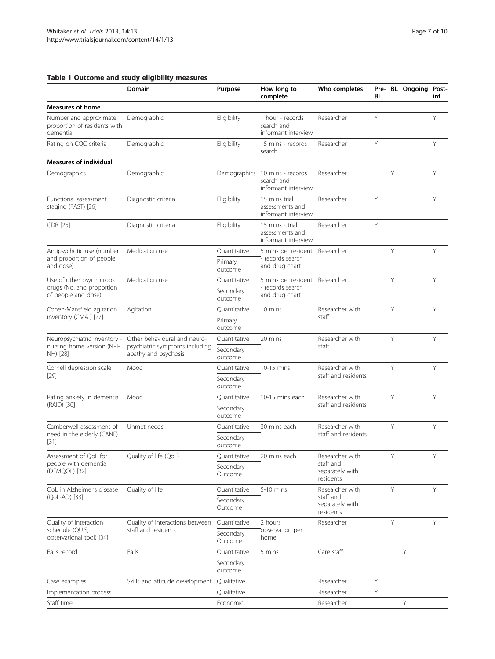# <span id="page-6-0"></span>Table 1 Outcome and study eligibility measures

|                                                                               | <b>Domain</b>                                                                          | Purpose                              | How long to<br>complete                                              | Who completes                                                | BL |   | Pre- BL Ongoing Post- | int |
|-------------------------------------------------------------------------------|----------------------------------------------------------------------------------------|--------------------------------------|----------------------------------------------------------------------|--------------------------------------------------------------|----|---|-----------------------|-----|
| <b>Measures of home</b>                                                       |                                                                                        |                                      |                                                                      |                                                              |    |   |                       |     |
| Number and approximate<br>proportion of residents with<br>dementia            | Demographic                                                                            | Eligibility                          | 1 hour - records<br>search and<br>informant interview                | Researcher                                                   | Y  |   |                       | Y   |
| Rating on CQC criteria                                                        | Demographic                                                                            | Eligibility                          | Υ<br>15 mins - records<br>Researcher<br>search                       |                                                              |    | Y |                       |     |
| <b>Measures of individual</b>                                                 |                                                                                        |                                      |                                                                      |                                                              |    |   |                       |     |
| Demographics                                                                  | Demographic                                                                            |                                      | Demographics 10 mins - records<br>search and<br>informant interview  | Researcher                                                   | Υ  |   | Y                     |     |
| Functional assessment<br>staging (FAST) [26]                                  | Diagnostic criteria                                                                    | Eligibility                          | 15 mins trial<br>assessments and<br>informant interview              | Researcher                                                   | Y  |   | Y                     |     |
| CDR [25]                                                                      | Diagnostic criteria                                                                    | Eligibility                          | 15 mins - trial<br>assessments and<br>informant interview            | Researcher                                                   | Y  |   |                       |     |
| Antipsychotic use (number<br>and proportion of people<br>and dose)            | Medication use                                                                         | Quantitative<br>Primary<br>outcome   | 5 mins per resident<br>- records search<br>and drug chart            | Researcher                                                   |    | Y |                       | Y   |
| Use of other psychotropic<br>drugs (No. and proportion<br>of people and dose) | Medication use                                                                         | Ouantitative<br>Secondary<br>outcome | 5 mins per resident Researcher<br>- records search<br>and drug chart |                                                              |    | Υ |                       | Y   |
| Cohen-Mansfield agitation<br>inventory (CMAI) [27]                            | Agitation                                                                              | Quantitative                         | 10 mins                                                              | Researcher with<br>staff                                     |    | Y |                       | Υ   |
|                                                                               |                                                                                        | Primary<br>outcome                   |                                                                      |                                                              |    |   |                       |     |
| Neuropsychiatric inventory -<br>nursing home version (NPI-<br>NH) [28]        | Other behavioural and neuro-<br>psychiatric symptoms including<br>apathy and psychosis | Quantitative                         | 20 mins                                                              | Researcher with<br>staff                                     |    | Y | Y                     |     |
|                                                                               |                                                                                        | Secondary<br>outcome                 |                                                                      |                                                              |    |   |                       |     |
| Cornell depression scale<br>[29]                                              | Mood                                                                                   | Quantitative                         | 10-15 mins                                                           | Researcher with<br>staff and residents                       |    | Y | Y                     |     |
|                                                                               |                                                                                        | Secondary<br>outcome                 |                                                                      |                                                              |    |   |                       |     |
| Rating anxiety in dementia<br>(RAID) [30]                                     | Mood                                                                                   | Quantitative                         | 10-15 mins each                                                      | Researcher with<br>staff and residents                       |    | Y |                       | Y   |
|                                                                               |                                                                                        | Secondary<br>outcome                 |                                                                      |                                                              |    |   |                       |     |
| Camberwell assessment of<br>need in the elderly (CANE)<br>[31]                | Unmet needs                                                                            | Ouantitative                         | 30 mins each                                                         | Researcher with<br>staff and residents                       |    | Y |                       | Y   |
|                                                                               |                                                                                        | Secondary<br>outcome                 |                                                                      |                                                              |    |   |                       |     |
| Assessment of QoL for<br>people with dementia<br>(DEMQOL) [32]                | Quality of life (QoL)                                                                  | Quantitative                         | 20 mins each                                                         | Researcher with<br>staff and<br>separately with<br>residents |    | Y |                       | Y   |
|                                                                               |                                                                                        | Secondary                            |                                                                      |                                                              |    |   |                       |     |
|                                                                               |                                                                                        | Outcome                              |                                                                      |                                                              |    |   |                       |     |
| QoL in Alzheimer's disease<br>(QoL-AD) [33]                                   | Quality of life                                                                        | Quantitative                         | 5-10 mins                                                            | Researcher with<br>staff and<br>separately with<br>residents |    | Y |                       | Y   |
|                                                                               |                                                                                        | Secondary<br>Outcome                 |                                                                      |                                                              |    |   |                       |     |
| Quality of interaction<br>schedule (QUIS,<br>observational tool) [34]         | Quality of interactions between<br>staff and residents                                 | Quantitative                         | 2 hours                                                              | Researcher                                                   |    | Y |                       | Y   |
|                                                                               |                                                                                        | Secondary<br>Outcome                 | observation per<br>home                                              |                                                              |    |   |                       |     |
| Falls record                                                                  | Falls                                                                                  | Quantitative                         | 5 mins                                                               | Care staff                                                   |    |   | Y                     |     |
|                                                                               |                                                                                        | Secondary<br>outcome                 |                                                                      |                                                              |    |   |                       |     |
| Case examples                                                                 | Skills and attitude development                                                        | Qualitative                          |                                                                      | Researcher                                                   | Y  |   |                       |     |
| Implementation process                                                        |                                                                                        | Qualitative                          |                                                                      | Researcher                                                   | Υ  |   |                       |     |
| Staff time                                                                    |                                                                                        | Economic                             |                                                                      | Researcher                                                   |    |   | Υ                     |     |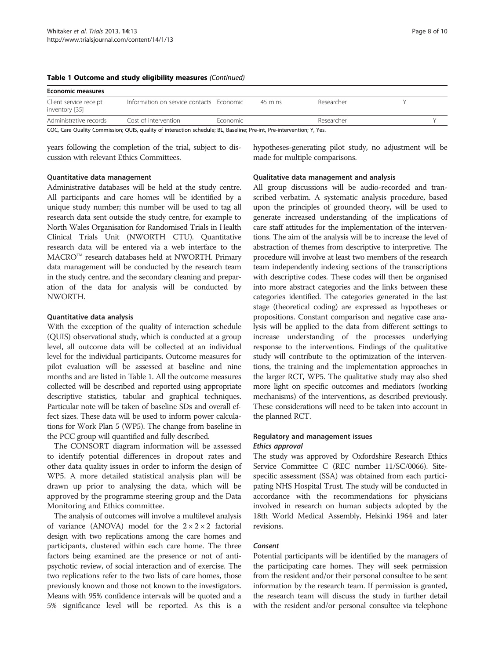| <b>Economic measures</b>                 |                                          |                 |         |            |  |  |  |  |  |  |
|------------------------------------------|------------------------------------------|-----------------|---------|------------|--|--|--|--|--|--|
| Client service receipt<br>inventory [35] | Information on service contacts Economic |                 | 45 mins | Researcher |  |  |  |  |  |  |
| Administrative records                   | Cost of intervention                     | <b>Economic</b> |         | Researcher |  |  |  |  |  |  |

#### Table 1 Outcome and study eligibility measures (Continued)

CQC, Care Quality Commission; QUIS, quality of interaction schedule; BL, Baseline; Pre-int, Pre-intervention; Y, Yes.

years following the completion of the trial, subject to discussion with relevant Ethics Committees.

hypotheses-generating pilot study, no adjustment will be made for multiple comparisons.

#### Quantitative data management

Administrative databases will be held at the study centre. All participants and care homes will be identified by a unique study number; this number will be used to tag all research data sent outside the study centre, for example to North Wales Organisation for Randomised Trials in Health Clinical Trials Unit (NWORTH CTU). Quantitative research data will be entered via a web interface to the MACROTM research databases held at NWORTH. Primary data management will be conducted by the research team in the study centre, and the secondary cleaning and preparation of the data for analysis will be conducted by NWORTH.

#### Quantitative data analysis

With the exception of the quality of interaction schedule (QUIS) observational study, which is conducted at a group level, all outcome data will be collected at an individual level for the individual participants. Outcome measures for pilot evaluation will be assessed at baseline and nine months and are listed in Table [1.](#page-6-0) All the outcome measures collected will be described and reported using appropriate descriptive statistics, tabular and graphical techniques. Particular note will be taken of baseline SDs and overall effect sizes. These data will be used to inform power calculations for Work Plan 5 (WP5). The change from baseline in the PCC group will quantified and fully described.

The CONSORT diagram information will be assessed to identify potential differences in dropout rates and other data quality issues in order to inform the design of WP5. A more detailed statistical analysis plan will be drawn up prior to analysing the data, which will be approved by the programme steering group and the Data Monitoring and Ethics committee.

The analysis of outcomes will involve a multilevel analysis of variance (ANOVA) model for the  $2 \times 2 \times 2$  factorial design with two replications among the care homes and participants, clustered within each care home. The three factors being examined are the presence or not of antipsychotic review, of social interaction and of exercise. The two replications refer to the two lists of care homes, those previously known and those not known to the investigators. Means with 95% confidence intervals will be quoted and a 5% significance level will be reported. As this is a

# Qualitative data management and analysis

All group discussions will be audio-recorded and transcribed verbatim. A systematic analysis procedure, based upon the principles of grounded theory, will be used to generate increased understanding of the implications of care staff attitudes for the implementation of the interventions. The aim of the analysis will be to increase the level of abstraction of themes from descriptive to interpretive. The procedure will involve at least two members of the research team independently indexing sections of the transcriptions with descriptive codes. These codes will then be organised into more abstract categories and the links between these categories identified. The categories generated in the last stage (theoretical coding) are expressed as hypotheses or propositions. Constant comparison and negative case analysis will be applied to the data from different settings to increase understanding of the processes underlying response to the interventions. Findings of the qualitative study will contribute to the optimization of the interventions, the training and the implementation approaches in the larger RCT, WP5. The qualitative study may also shed more light on specific outcomes and mediators (working mechanisms) of the interventions, as described previously. These considerations will need to be taken into account in the planned RCT.

## Regulatory and management issues Ethics approval

The study was approved by Oxfordshire Research Ethics Service Committee C (REC number 11/SC/0066). Sitespecific assessment (SSA) was obtained from each participating NHS Hospital Trust. The study will be conducted in accordance with the recommendations for physicians involved in research on human subjects adopted by the 18th World Medical Assembly, Helsinki 1964 and later revisions.

#### Consent

Potential participants will be identified by the managers of the participating care homes. They will seek permission from the resident and/or their personal consultee to be sent information by the research team. If permission is granted, the research team will discuss the study in further detail with the resident and/or personal consultee via telephone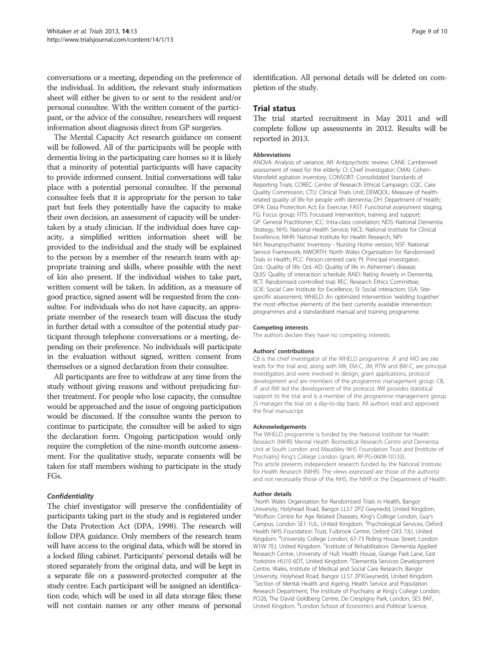conversations or a meeting, depending on the preference of the individual. In addition, the relevant study information sheet will either be given to or sent to the resident and/or personal consultee. With the written consent of the participant, or the advice of the consultee, researchers will request information about diagnosis direct from GP surgeries.

The Mental Capacity Act research guidance on consent will be followed. All of the participants will be people with dementia living in the participating care homes so it is likely that a minority of potential participants will have capacity to provide informed consent. Initial conversations will take place with a potential personal consultee. If the personal consultee feels that it is appropriate for the person to take part but feels they potentially have the capacity to make their own decision, an assessment of capacity will be undertaken by a study clinician. If the individual does have capacity, a simplified written information sheet will be provided to the individual and the study will be explained to the person by a member of the research team with appropriate training and skills, where possible with the next of kin also present. If the individual wishes to take part, written consent will be taken. In addition, as a measure of good practice, signed assent will be requested from the consultee. For individuals who do not have capacity, an appropriate member of the research team will discuss the study in further detail with a consultee of the potential study participant through telephone conversations or a meeting, depending on their preference. No individuals will participate in the evaluation without signed, written consent from themselves or a signed declaration from their consultee.

All participants are free to withdraw at any time from the study without giving reasons and without prejudicing further treatment. For people who lose capacity, the consultee would be approached and the issue of ongoing participation would be discussed. If the consultee wants the person to continue to participate, the consultee will be asked to sign the declaration form. Ongoing participation would only require the completion of the nine-month outcome assessment. For the qualitative study, separate consents will be taken for staff members wishing to participate in the study FGs.

# **Confidentiality**

The chief investigator will preserve the confidentiality of participants taking part in the study and is registered under the Data Protection Act (DPA, 1998). The research will follow DPA guidance. Only members of the research team will have access to the original data, which will be stored in a locked filing cabinet. Participants' personal details will be stored separately from the original data, and will be kept in a separate file on a password-protected computer at the study centre. Each participant will be assigned an identification code, which will be used in all data storage files; these will not contain names or any other means of personal

identification. All personal details will be deleted on completion of the study.

# Trial status

The trial started recruitment in May 2011 and will complete follow up assessments in 2012. Results will be reported in 2013.

#### Abbreviations

ANOVA: Analysis of variance; AR: Antipsychotic review; CANE: Camberwell assessment of need for the elderly: CI: Chief investigator: CMAI: Cohen-Mansfield agitation inventory; CONSORT: Consolidated Standards of Reporting Trials; COREC: Centre of Research Ethical Campaign; CQC: Care Quality Commission; CTU: Clinical Trials Unit; DEMQOL: Measure of healthrelated quality of life for people with dementia; DH: Department of Health; DPA: Data Protection Act; Ex: Exercise; FAST: Functional assessment staging; FG: Focus group; FITS: Focussed intervention, training and support; GP: General Practitioner; ICC: Intra-class correlation; NDS: National Dementia Strategy; NHS: National Health Service; NICE: National Institute for Clinical Excellence; NIHR: National Institute for Health Research; NPI-NH: Neuropsychiatric Inventory - Nursing Home version; NSF: National Service Framework; NWORTH: North Wales Organisation for Randomised Trials in Health; PCC: Person-centred care; PI: Principal investigator; QoL: Quality of life; QoL-AD: Quality of life in Alzheimer's disease; QUIS: Quality of interaction schedule; RAID: Rating Anxiety in Dementia; RCT: Randomised controlled trial; REC: Research Ethics Committee; SCIE: Social Care Institute for Excellence; SI: Social interaction; SSA: Sitespecific assessment; WHELD: An optimized intervention 'welding together' the most effective elements of the best currently available intervention programmes and a standardised manual and training programme.

#### Competing interests

The authors declare they have no competing interests.

#### Authors' contributions

CB is the chief investigator of the WHELD programme. JF and MO are site leads for the trial and, along with MK, EM-C, JM, RTW and BW-C, are principal investigators and were involved in design, grant applications, protocol development and are members of the programme management group. CB, JF and RW led the development of the protocol. RW provides statistical support to the trial and is a member of the programme management group. JS manages the trial on a day-to-day basis. All authors read and approved the final manuscript.

#### Acknowledgements

The WHELD programme is funded by the National Institute for Health Research (NIHR) Mental Health Biomedical Research Centre and Dementia Unit at South London and Maudsley NHS Foundation Trust and [Institute of Psychiatry] King's College London (grant: RP-PG-0608-10133). This article presents independent research funded by the National Institute for Health Research (NIHR). The views expressed are those of the author(s) and not necessarily those of the NHS, the NIHR or the Department of Health.

#### Author details

<sup>1</sup>North Wales Organisation for Randomised Trials in Health, Bangor University, Holyhead Road, Bangor LL57 2PZ Gwynedd, United Kingdom. <sup>2</sup>Wolfson Centre for Age Related Diseases, King's College London, Guy's Campus, London SE1 1UL, United Kingdom. <sup>3</sup>Psychological Services, Oxford Health NHS Foundation Trust, Fulbrook Centre, Oxford OX3 7JU, United Kingdom. <sup>4</sup>University College London, 67-73 Riding House Street, London W1W 7EJ, United Kingdom. <sup>5</sup>Institute of Rehabilitation: Dementia Applied Research Centre, University of Hull, Health House, Grange Park Lane, East Yorkshire HU10 6DT, United Kingdom. <sup>6</sup>Dementia Services Development Centre, Wales, Institute of Medical and Social Care Research, Bangor University, Holyhead Road, Bangor LL57 2PXGwynedd, United Kingdom. <sup>7</sup>Section of Mental Health and Ageing, Health Service and Population Research Department, The Institute of Psychiatry at King's College London, PO26, The David Goldberg Centre, De Crespigny Park, London, SE5 8AF, United Kingdom. <sup>8</sup> London School of Economics and Political Science,